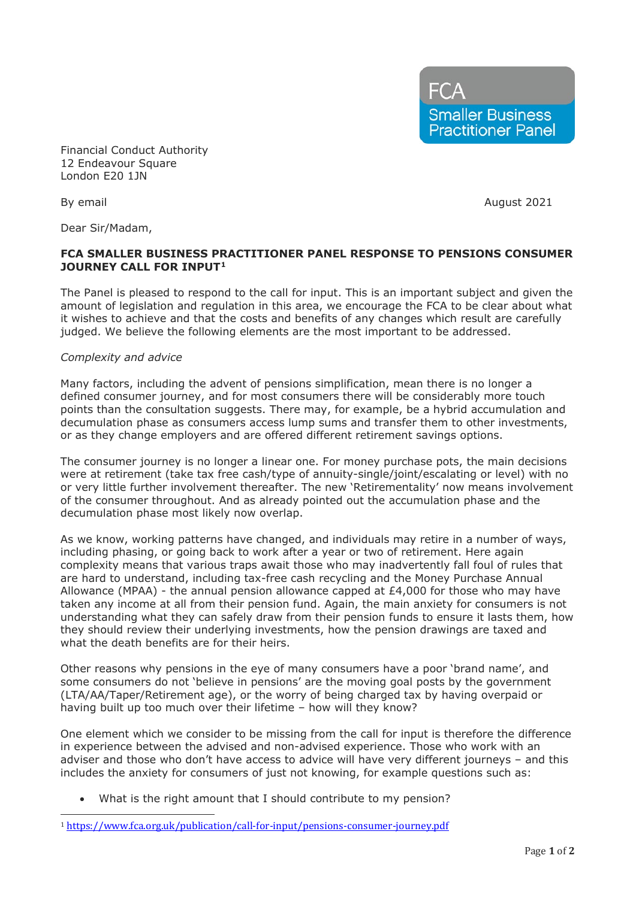**FCA Smaller Business Practitioner Panel** 

Financial Conduct Authority 12 Endeavour Square London E20 1JN

Dear Sir/Madam,

By email and a set of the set of the set of the set of the August 2021

## **FCA SMALLER BUSINESS PRACTITIONER PANEL RESPONSE TO PENSIONS CONSUMER JOURNEY CALL FOR INPUT[1](#page-0-0)**

The Panel is pleased to respond to the call for input. This is an important subject and given the amount of legislation and regulation in this area, we encourage the FCA to be clear about what it wishes to achieve and that the costs and benefits of any changes which result are carefully judged. We believe the following elements are the most important to be addressed.

## *Complexity and advice*

Many factors, including the advent of pensions simplification, mean there is no longer a defined consumer journey, and for most consumers there will be considerably more touch points than the consultation suggests. There may, for example, be a hybrid accumulation and decumulation phase as consumers access lump sums and transfer them to other investments, or as they change employers and are offered different retirement savings options.

The consumer journey is no longer a linear one. For money purchase pots, the main decisions were at retirement (take tax free cash/type of annuity-single/joint/escalating or level) with no or very little further involvement thereafter. The new 'Retirementality' now means involvement of the consumer throughout. And as already pointed out the accumulation phase and the decumulation phase most likely now overlap.

As we know, working patterns have changed, and individuals may retire in a number of ways, including phasing, or going back to work after a year or two of retirement. Here again complexity means that various traps await those who may inadvertently fall foul of rules that are hard to understand, including tax-free cash recycling and the Money Purchase Annual Allowance (MPAA) - the annual pension allowance capped at  $E4,000$  for those who may have taken any income at all from their pension fund. Again, the main anxiety for consumers is not understanding what they can safely draw from their pension funds to ensure it lasts them, how they should review their underlying investments, how the pension drawings are taxed and what the death benefits are for their heirs.

Other reasons why pensions in the eye of many consumers have a poor 'brand name', and some consumers do not 'believe in pensions' are the moving goal posts by the government (LTA/AA/Taper/Retirement age), or the worry of being charged tax by having overpaid or having built up too much over their lifetime – how will they know?

One element which we consider to be missing from the call for input is therefore the difference in experience between the advised and non-advised experience. Those who work with an adviser and those who don't have access to advice will have very different journeys – and this includes the anxiety for consumers of just not knowing, for example questions such as:

What is the right amount that I should contribute to my pension?

<span id="page-0-0"></span><sup>1</sup> <https://www.fca.org.uk/publication/call-for-input/pensions-consumer-journey.pdf>